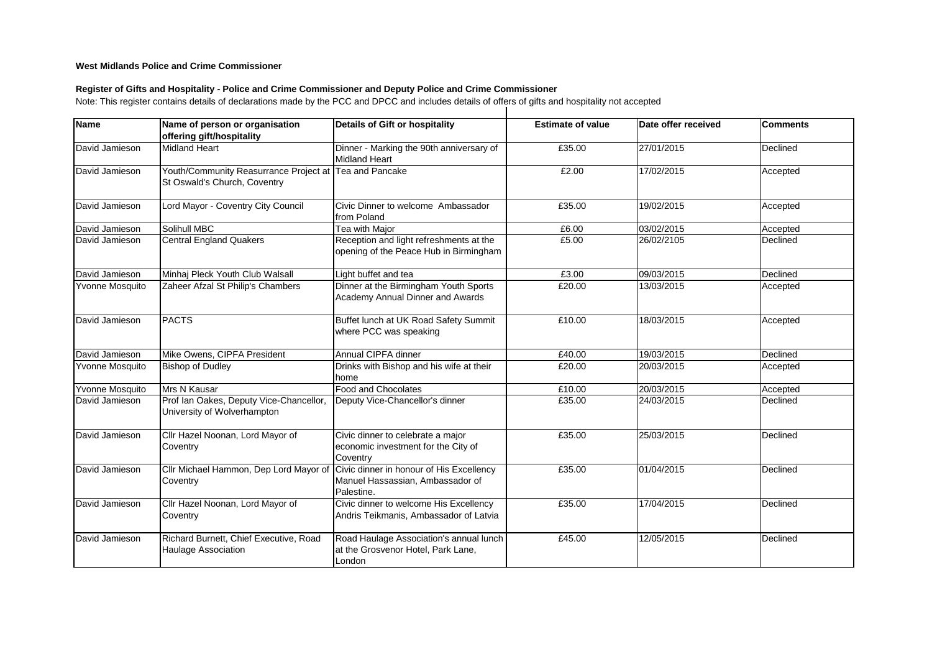## **West Midlands Police and Crime Commissioner**

## **Register of Gifts and Hospitality - Police and Crime Commissioner and Deputy Police and Crime Commissioner**

Note: This register contains details of declarations made by the PCC and DPCC and includes details of offers of gifts and hospitality not accepted

| Name                   | Name of person or organisation<br>offering gift/hospitality            | <b>Details of Gift or hospitality</b>                                                      | <b>Estimate of value</b> | Date offer received | <b>Comments</b> |
|------------------------|------------------------------------------------------------------------|--------------------------------------------------------------------------------------------|--------------------------|---------------------|-----------------|
| David Jamieson         | <b>Midland Heart</b>                                                   | Dinner - Marking the 90th anniversary of<br><b>Midland Heart</b>                           | £35.00                   | 27/01/2015          | Declined        |
| David Jamieson         | Youth/Community Reasurrance Project at<br>St Oswald's Church, Coventry | Tea and Pancake                                                                            | £2.00                    | 17/02/2015          | Accepted        |
| David Jamieson         | Lord Mayor - Coventry City Council                                     | Civic Dinner to welcome Ambassador<br>from Poland                                          | £35.00                   | 19/02/2015          | Accepted        |
| David Jamieson         | Solihull MBC                                                           | Tea with Major                                                                             | £6.00                    | 03/02/2015          | Accepted        |
| David Jamieson         | <b>Central England Quakers</b>                                         | Reception and light refreshments at the<br>opening of the Peace Hub in Birmingham          | £5.00                    | 26/02/2105          | Declined        |
| David Jamieson         | Minhaj Pleck Youth Club Walsall                                        | Light buffet and tea                                                                       | £3.00                    | 09/03/2015          | Declined        |
| Yvonne Mosquito        | Zaheer Afzal St Philip's Chambers                                      | Dinner at the Birmingham Youth Sports<br>Academy Annual Dinner and Awards                  | £20.00                   | 13/03/2015          | Accepted        |
| David Jamieson         | <b>PACTS</b>                                                           | Buffet lunch at UK Road Safety Summit<br>where PCC was speaking                            | £10.00                   | 18/03/2015          | Accepted        |
| David Jamieson         | Mike Owens, CIPFA President                                            | Annual CIPFA dinner                                                                        | £40.00                   | 19/03/2015          | Declined        |
| <b>Yvonne Mosquito</b> | <b>Bishop of Dudley</b>                                                | Drinks with Bishop and his wife at their<br>home                                           | £20.00                   | 20/03/2015          | Accepted        |
| Yvonne Mosquito        | Mrs N Kausar                                                           | <b>Food and Chocolates</b>                                                                 | £10.00                   | 20/03/2015          | Accepted        |
| David Jamieson         | Prof Ian Oakes, Deputy Vice-Chancellor,<br>University of Wolverhampton | Deputy Vice-Chancellor's dinner                                                            | £35.00                   | 24/03/2015          | Declined        |
| David Jamieson         | Cllr Hazel Noonan, Lord Mayor of<br>Coventry                           | Civic dinner to celebrate a major<br>economic investment for the City of<br>Coventry       | £35.00                   | 25/03/2015          | Declined        |
| David Jamieson         | Cllr Michael Hammon, Dep Lord Mayor of<br>Coventry                     | Civic dinner in honour of His Excellency<br>Manuel Hassassian, Ambassador of<br>Palestine. | £35.00                   | 01/04/2015          | Declined        |
| David Jamieson         | Cllr Hazel Noonan, Lord Mayor of<br>Coventry                           | Civic dinner to welcome His Excellency<br>Andris Teikmanis, Ambassador of Latvia           | £35.00                   | 17/04/2015          | Declined        |
| David Jamieson         | Richard Burnett, Chief Executive, Road<br>Haulage Association          | Road Haulage Association's annual lunch<br>at the Grosvenor Hotel, Park Lane,<br>London    | £45.00                   | 12/05/2015          | Declined        |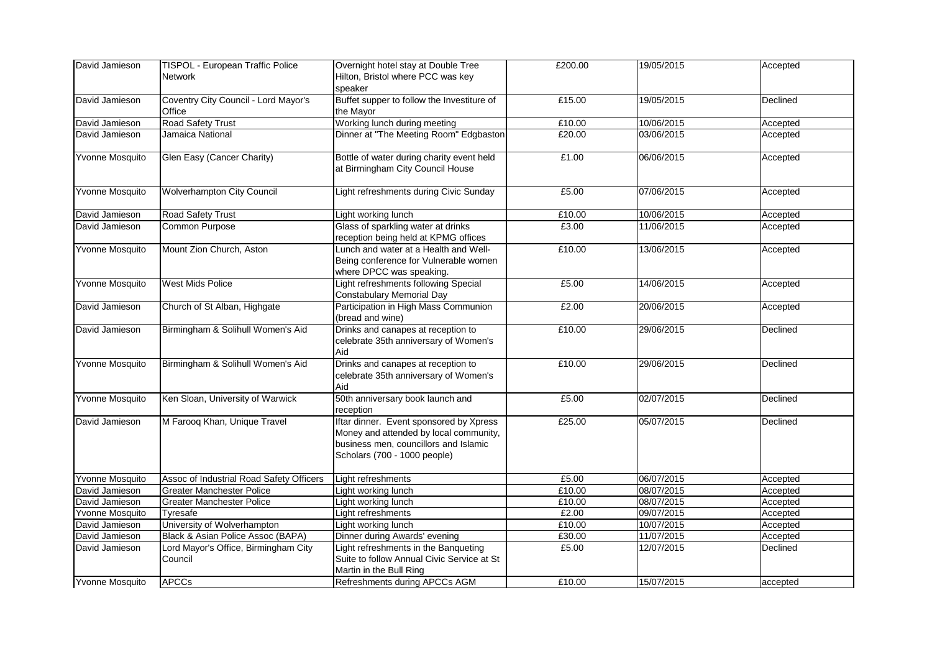| David Jamieson         | TISPOL - European Traffic Police         | Overnight hotel stay at Double Tree          | £200.00 | 19/05/2015 | Accepted |
|------------------------|------------------------------------------|----------------------------------------------|---------|------------|----------|
|                        | <b>Network</b>                           | Hilton, Bristol where PCC was key            |         |            |          |
|                        |                                          | speaker                                      |         |            |          |
| David Jamieson         | Coventry City Council - Lord Mayor's     | Buffet supper to follow the Investiture of   | £15.00  | 19/05/2015 | Declined |
|                        | Office                                   | the Mayor                                    |         |            |          |
| David Jamieson         | <b>Road Safety Trust</b>                 | Working lunch during meeting                 | £10.00  | 10/06/2015 | Accepted |
| David Jamieson         | Jamaica National                         | Dinner at "The Meeting Room" Edgbaston       | £20.00  | 03/06/2015 | Accepted |
|                        |                                          |                                              |         |            |          |
| Yvonne Mosquito        | Glen Easy (Cancer Charity)               | Bottle of water during charity event held    | £1.00   | 06/06/2015 | Accepted |
|                        |                                          | at Birmingham City Council House             |         |            |          |
|                        |                                          |                                              |         |            |          |
| Yvonne Mosquito        | <b>Wolverhampton City Council</b>        | Light refreshments during Civic Sunday       | £5.00   | 07/06/2015 | Accepted |
|                        |                                          |                                              |         |            |          |
| David Jamieson         | <b>Road Safety Trust</b>                 | Light working lunch                          | £10.00  | 10/06/2015 | Accepted |
| David Jamieson         | <b>Common Purpose</b>                    | Glass of sparkling water at drinks           | £3.00   | 11/06/2015 | Accepted |
|                        |                                          | reception being held at KPMG offices         |         |            |          |
| <b>Yvonne Mosquito</b> | Mount Zion Church, Aston                 | Lunch and water at a Health and Well-        | £10.00  | 13/06/2015 | Accepted |
|                        |                                          | Being conference for Vulnerable women        |         |            |          |
|                        |                                          | where DPCC was speaking.                     |         |            |          |
| Yvonne Mosquito        | <b>West Mids Police</b>                  | Light refreshments following Special         | £5.00   | 14/06/2015 | Accepted |
|                        |                                          | <b>Constabulary Memorial Day</b>             |         |            |          |
| David Jamieson         | Church of St Alban, Highgate             | Participation in High Mass Communion         | £2.00   | 20/06/2015 | Accepted |
|                        |                                          | (bread and wine)                             |         |            |          |
| David Jamieson         | Birmingham & Solihull Women's Aid        | Drinks and canapes at reception to           | £10.00  | 29/06/2015 | Declined |
|                        |                                          |                                              |         |            |          |
|                        |                                          | celebrate 35th anniversary of Women's<br>Aid |         |            |          |
|                        |                                          |                                              |         |            |          |
| Yvonne Mosquito        | Birmingham & Solihull Women's Aid        | Drinks and canapes at reception to           | £10.00  | 29/06/2015 | Declined |
|                        |                                          | celebrate 35th anniversary of Women's        |         |            |          |
|                        |                                          | Aid                                          |         |            |          |
| Yvonne Mosquito        | Ken Sloan, University of Warwick         | 50th anniversary book launch and             | £5.00   | 02/07/2015 | Declined |
|                        |                                          | reception                                    |         |            |          |
| David Jamieson         | M Farooq Khan, Unique Travel             | Iftar dinner. Event sponsored by Xpress      | £25.00  | 05/07/2015 | Declined |
|                        |                                          | Money and attended by local community,       |         |            |          |
|                        |                                          | business men, councillors and Islamic        |         |            |          |
|                        |                                          | Scholars (700 - 1000 people)                 |         |            |          |
|                        |                                          |                                              |         |            |          |
| Yvonne Mosquito        | Assoc of Industrial Road Safety Officers | Light refreshments                           | £5.00   | 06/07/2015 | Accepted |
| David Jamieson         | <b>Greater Manchester Police</b>         | Light working lunch                          | £10.00  | 08/07/2015 | Accepted |
| David Jamieson         | <b>Greater Manchester Police</b>         | Light working lunch                          | £10.00  | 08/07/2015 | Accepted |
| <b>Yvonne Mosquito</b> | Tyresafe                                 | Light refreshments                           | £2.00   | 09/07/2015 | Accepted |
| David Jamieson         | University of Wolverhampton              | Light working lunch                          | £10.00  | 10/07/2015 | Accepted |
| David Jamieson         | Black & Asian Police Assoc (BAPA)        | Dinner during Awards' evening                | £30.00  | 11/07/2015 | Accepted |
| David Jamieson         | Lord Mayor's Office, Birmingham City     | Light refreshments in the Banqueting         | £5.00   | 12/07/2015 | Declined |
|                        | Council                                  | Suite to follow Annual Civic Service at St   |         |            |          |
|                        |                                          | Martin in the Bull Ring                      |         |            |          |
| Yvonne Mosquito        | <b>APCCs</b>                             | <b>Refreshments during APCCs AGM</b>         | £10.00  | 15/07/2015 | accepted |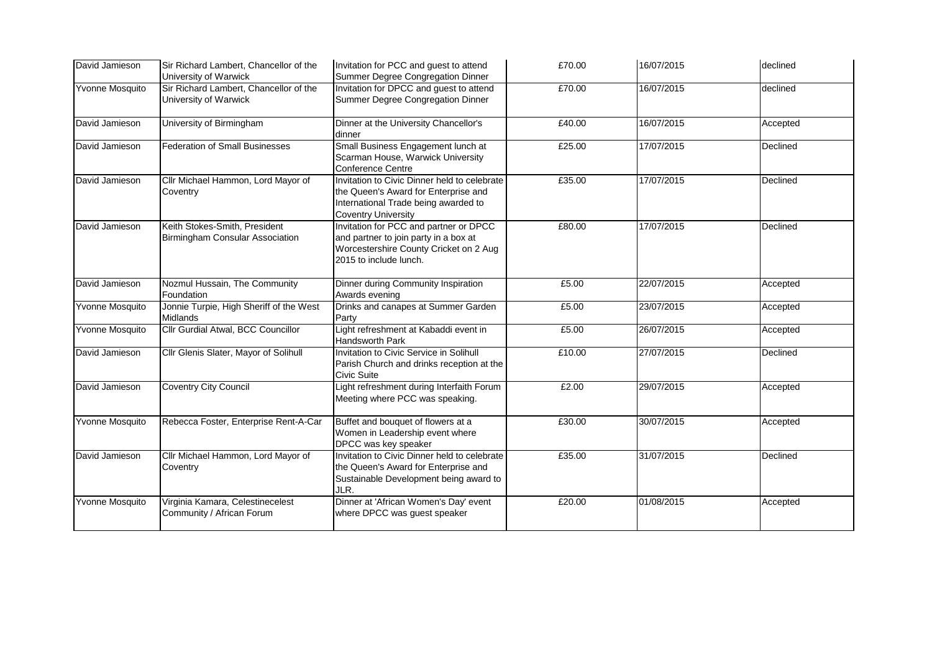| David Jamieson  | Sir Richard Lambert, Chancellor of the<br>University of Warwick         | Invitation for PCC and guest to attend<br>Summer Degree Congregation Dinner                                                                                | £70.00 | 16/07/2015 | declined |
|-----------------|-------------------------------------------------------------------------|------------------------------------------------------------------------------------------------------------------------------------------------------------|--------|------------|----------|
| Yvonne Mosquito | Sir Richard Lambert, Chancellor of the<br>University of Warwick         | Invitation for DPCC and guest to attend<br>Summer Degree Congregation Dinner                                                                               | £70.00 | 16/07/2015 | declined |
| David Jamieson  | University of Birmingham                                                | Dinner at the University Chancellor's<br>dinner                                                                                                            | £40.00 | 16/07/2015 | Accepted |
| David Jamieson  | <b>Federation of Small Businesses</b>                                   | Small Business Engagement lunch at<br>Scarman House, Warwick University<br><b>Conference Centre</b>                                                        | £25.00 | 17/07/2015 | Declined |
| David Jamieson  | Cllr Michael Hammon, Lord Mayor of<br>Coventry                          | Invitation to Civic Dinner held to celebrate<br>the Queen's Award for Enterprise and<br>International Trade being awarded to<br><b>Coventry University</b> | £35.00 | 17/07/2015 | Declined |
| David Jamieson  | Keith Stokes-Smith, President<br><b>Birmingham Consular Association</b> | Invitation for PCC and partner or DPCC<br>and partner to join party in a box at<br>Worcestershire County Cricket on 2 Aug<br>2015 to include lunch.        | £80.00 | 17/07/2015 | Declined |
| David Jamieson  | Nozmul Hussain, The Community<br>Foundation                             | Dinner during Community Inspiration<br>Awards evening                                                                                                      | £5.00  | 22/07/2015 | Accepted |
| Yvonne Mosquito | Jonnie Turpie, High Sheriff of the West<br><b>Midlands</b>              | Drinks and canapes at Summer Garden<br>Party                                                                                                               | £5.00  | 23/07/2015 | Accepted |
| Yvonne Mosquito | Cllr Gurdial Atwal, BCC Councillor                                      | Light refreshment at Kabaddi event in<br>Handsworth Park                                                                                                   | £5.00  | 26/07/2015 | Accepted |
| David Jamieson  | Cllr Glenis Slater, Mayor of Solihull                                   | Invitation to Civic Service in Solihull<br>Parish Church and drinks reception at the<br><b>Civic Suite</b>                                                 | £10.00 | 27/07/2015 | Declined |
| David Jamieson  | <b>Coventry City Council</b>                                            | Light refreshment during Interfaith Forum<br>Meeting where PCC was speaking.                                                                               | £2.00  | 29/07/2015 | Accepted |
| Yvonne Mosquito | Rebecca Foster, Enterprise Rent-A-Car                                   | Buffet and bouquet of flowers at a<br>Women in Leadership event where<br>DPCC was key speaker                                                              | £30.00 | 30/07/2015 | Accepted |
| David Jamieson  | Cllr Michael Hammon, Lord Mayor of<br>Coventry                          | Invitation to Civic Dinner held to celebrate<br>the Queen's Award for Enterprise and<br>Sustainable Development being award to<br>JLR.                     | £35.00 | 31/07/2015 | Declined |
| Yvonne Mosquito | Virginia Kamara, Celestinecelest<br>Community / African Forum           | Dinner at 'African Women's Day' event<br>where DPCC was guest speaker                                                                                      | £20.00 | 01/08/2015 | Accepted |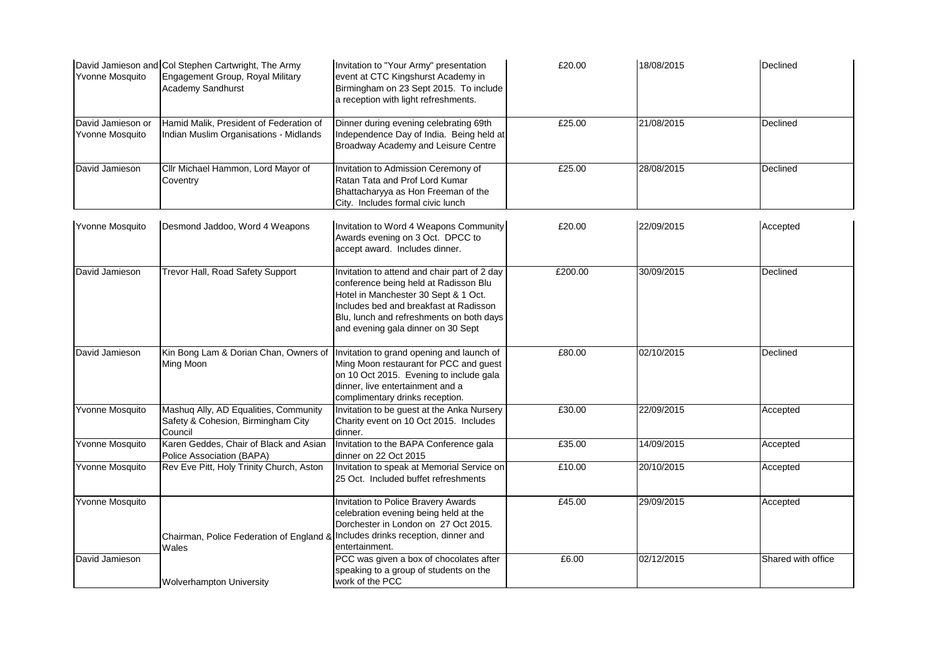| Yvonne Mosquito                      | David Jamieson and Col Stephen Cartwright, The Army<br>Engagement Group, Royal Military<br><b>Academy Sandhurst</b> | Invitation to "Your Army" presentation<br>event at CTC Kingshurst Academy in<br>Birmingham on 23 Sept 2015. To include<br>a reception with light refreshments.                                                                                            | £20.00  | 18/08/2015 | Declined           |
|--------------------------------------|---------------------------------------------------------------------------------------------------------------------|-----------------------------------------------------------------------------------------------------------------------------------------------------------------------------------------------------------------------------------------------------------|---------|------------|--------------------|
| David Jamieson or<br>Yvonne Mosquito | Hamid Malik, President of Federation of<br><b>Indian Muslim Organisations - Midlands</b>                            | Dinner during evening celebrating 69th<br>Independence Day of India. Being held at<br><b>Broadway Academy and Leisure Centre</b>                                                                                                                          | £25.00  | 21/08/2015 | Declined           |
| David Jamieson                       | Cllr Michael Hammon, Lord Mayor of<br>Coventry                                                                      | Invitation to Admission Ceremony of<br>Ratan Tata and Prof Lord Kumar<br>Bhattacharyya as Hon Freeman of the<br>City. Includes formal civic lunch                                                                                                         | £25.00  | 28/08/2015 | Declined           |
| Yvonne Mosquito                      | Desmond Jaddoo, Word 4 Weapons                                                                                      | Invitation to Word 4 Weapons Community<br>Awards evening on 3 Oct. DPCC to<br>accept award. Includes dinner.                                                                                                                                              | £20.00  | 22/09/2015 | Accepted           |
| David Jamieson                       | <b>Trevor Hall, Road Safety Support</b>                                                                             | Invitation to attend and chair part of 2 day<br>conference being held at Radisson Blu<br>Hotel in Manchester 30 Sept & 1 Oct.<br>Includes bed and breakfast at Radisson<br>Blu, lunch and refreshments on both days<br>and evening gala dinner on 30 Sept | £200.00 | 30/09/2015 | Declined           |
| David Jamieson                       | Kin Bong Lam & Dorian Chan, Owners of<br>Ming Moon                                                                  | Invitation to grand opening and launch of<br>Ming Moon restaurant for PCC and guest<br>on 10 Oct 2015. Evening to include gala<br>dinner, live entertainment and a<br>complimentary drinks reception.                                                     | £80.00  | 02/10/2015 | Declined           |
| Yvonne Mosquito                      | Mashuq Ally, AD Equalities, Community<br>Safety & Cohesion, Birmingham City<br>Council                              | Invitation to be guest at the Anka Nursery<br>Charity event on 10 Oct 2015. Includes<br>dinner.                                                                                                                                                           | £30.00  | 22/09/2015 | Accepted           |
| Yvonne Mosquito                      | Karen Geddes, Chair of Black and Asian<br>Police Association (BAPA)                                                 | Invitation to the BAPA Conference gala<br>dinner on 22 Oct 2015                                                                                                                                                                                           | £35.00  | 14/09/2015 | Accepted           |
| Yvonne Mosquito                      | Rev Eve Pitt, Holy Trinity Church, Aston                                                                            | Invitation to speak at Memorial Service on<br>25 Oct. Included buffet refreshments                                                                                                                                                                        | £10.00  | 20/10/2015 | Accepted           |
| Yvonne Mosquito                      | Chairman, Police Federation of England & Includes drinks reception, dinner and<br>Wales                             | Invitation to Police Bravery Awards<br>celebration evening being held at the<br>Dorchester in London on 27 Oct 2015.<br>entertainment.                                                                                                                    | £45.00  | 29/09/2015 | Accepted           |
| David Jamieson                       | <b>Wolverhampton University</b>                                                                                     | PCC was given a box of chocolates after<br>speaking to a group of students on the<br>work of the PCC                                                                                                                                                      | £6.00   | 02/12/2015 | Shared with office |